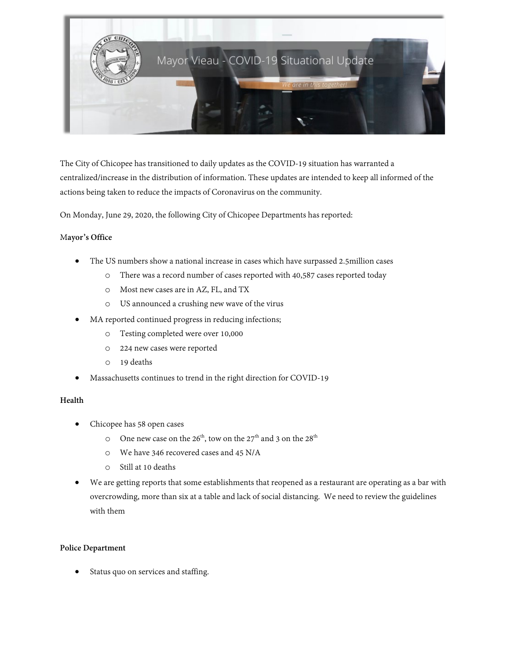

The City of Chicopee has transitioned to daily updates as the COVID-19 situation has warranted a centralized/increase in the distribution of information. These updates are intended to keep all informed of the actions being taken to reduce the impacts of Coronavirus on the community.

On Monday, June 29, 2020, the following City of Chicopee Departments has reported:

## M**ayor's Office**

- The US numbers show a national increase in cases which have surpassed 2.5million cases
	- o There was a record number of cases reported with 40,587 cases reported today
	- o Most new cases are in AZ, FL, and TX
	- o US announced a crushing new wave of the virus
- MA reported continued progress in reducing infections;
	- o Testing completed were over 10,000
	- o 224 new cases were reported
	- o 19 deaths
- Massachusetts continues to trend in the right direction for COVID-19

#### **Health**

- Chicopee has 58 open cases
	- O One new case on the  $26<sup>th</sup>$ , tow on the  $27<sup>th</sup>$  and 3 on the  $28<sup>th</sup>$
	- o We have 346 recovered cases and 45 N/A
	- o Still at 10 deaths
- We are getting reports that some establishments that reopened as a restaurant are operating as a bar with overcrowding, more than six at a table and lack of social distancing. We need to review the guidelines with them

#### **Police Department**

Status quo on services and staffing.